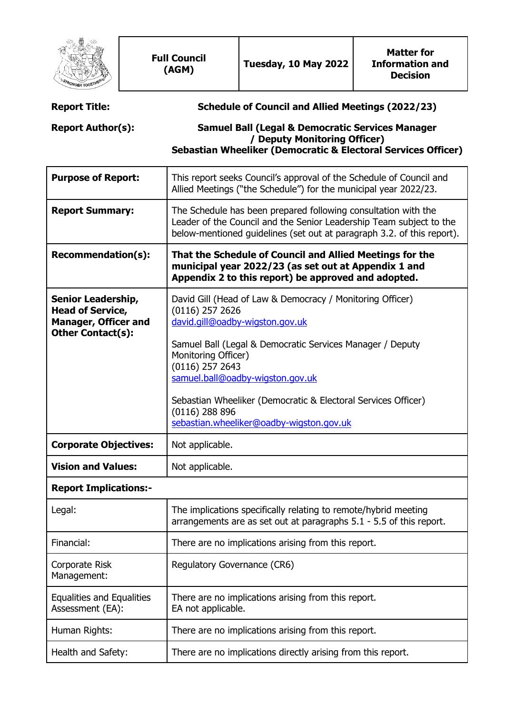|                                                                                                                 |  | <b>Full Council</b><br>(AGM)                                                                                                                                                                                                                                                                                                                                                                    | <b>Tuesday, 10 May 2022</b> | <b>Matter for</b><br><b>Information and</b><br><b>Decision</b> |  |  |
|-----------------------------------------------------------------------------------------------------------------|--|-------------------------------------------------------------------------------------------------------------------------------------------------------------------------------------------------------------------------------------------------------------------------------------------------------------------------------------------------------------------------------------------------|-----------------------------|----------------------------------------------------------------|--|--|
| <b>Report Title:</b>                                                                                            |  | <b>Schedule of Council and Allied Meetings (2022/23)</b>                                                                                                                                                                                                                                                                                                                                        |                             |                                                                |  |  |
| <b>Report Author(s):</b>                                                                                        |  | <b>Samuel Ball (Legal &amp; Democratic Services Manager</b><br>/ Deputy Monitoring Officer)<br>Sebastian Wheeliker (Democratic & Electoral Services Officer)                                                                                                                                                                                                                                    |                             |                                                                |  |  |
| <b>Purpose of Report:</b>                                                                                       |  | This report seeks Council's approval of the Schedule of Council and<br>Allied Meetings ("the Schedule") for the municipal year 2022/23.                                                                                                                                                                                                                                                         |                             |                                                                |  |  |
| <b>Report Summary:</b>                                                                                          |  | The Schedule has been prepared following consultation with the<br>Leader of the Council and the Senior Leadership Team subject to the<br>below-mentioned guidelines (set out at paragraph 3.2. of this report).                                                                                                                                                                                 |                             |                                                                |  |  |
| <b>Recommendation(s):</b>                                                                                       |  | That the Schedule of Council and Allied Meetings for the<br>municipal year 2022/23 (as set out at Appendix 1 and<br>Appendix 2 to this report) be approved and adopted.                                                                                                                                                                                                                         |                             |                                                                |  |  |
| <b>Senior Leadership,</b><br><b>Head of Service,</b><br><b>Manager, Officer and</b><br><b>Other Contact(s):</b> |  | David Gill (Head of Law & Democracy / Monitoring Officer)<br>$(0116)$ 257 2626<br>david.gill@oadby-wigston.gov.uk<br>Samuel Ball (Legal & Democratic Services Manager / Deputy<br>Monitoring Officer)<br>$(0116)$ 257 2643<br>samuel.ball@oadby-wigston.gov.uk<br>Sebastian Wheeliker (Democratic & Electoral Services Officer)<br>$(0116)$ 288 896<br>sebastian.wheeliker@oadby-wigston.gov.uk |                             |                                                                |  |  |
| <b>Corporate Objectives:</b>                                                                                    |  | Not applicable.                                                                                                                                                                                                                                                                                                                                                                                 |                             |                                                                |  |  |
| <b>Vision and Values:</b>                                                                                       |  | Not applicable.                                                                                                                                                                                                                                                                                                                                                                                 |                             |                                                                |  |  |
| <b>Report Implications:-</b>                                                                                    |  |                                                                                                                                                                                                                                                                                                                                                                                                 |                             |                                                                |  |  |
| Legal:                                                                                                          |  | The implications specifically relating to remote/hybrid meeting<br>arrangements are as set out at paragraphs 5.1 - 5.5 of this report.                                                                                                                                                                                                                                                          |                             |                                                                |  |  |
| Financial:                                                                                                      |  | There are no implications arising from this report.                                                                                                                                                                                                                                                                                                                                             |                             |                                                                |  |  |
| Corporate Risk<br>Management:                                                                                   |  | Regulatory Governance (CR6)                                                                                                                                                                                                                                                                                                                                                                     |                             |                                                                |  |  |
| <b>Equalities and Equalities</b><br>Assessment (EA):                                                            |  | There are no implications arising from this report.<br>EA not applicable.                                                                                                                                                                                                                                                                                                                       |                             |                                                                |  |  |
| Human Rights:                                                                                                   |  | There are no implications arising from this report.                                                                                                                                                                                                                                                                                                                                             |                             |                                                                |  |  |
| Health and Safety:                                                                                              |  | There are no implications directly arising from this report.                                                                                                                                                                                                                                                                                                                                    |                             |                                                                |  |  |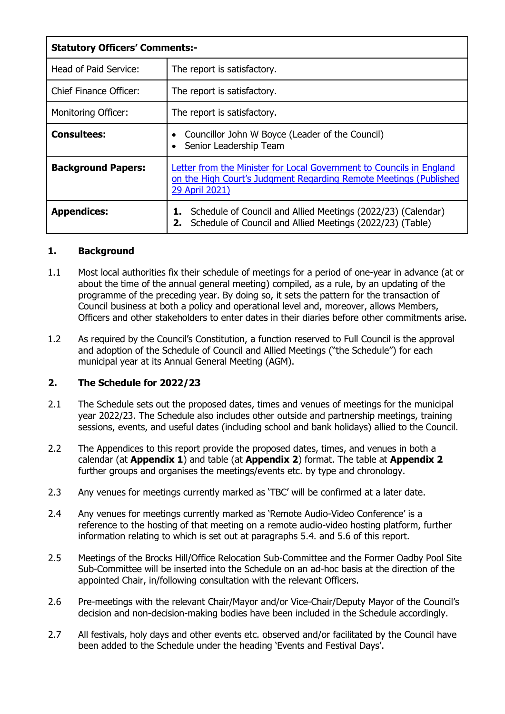| <b>Statutory Officers' Comments:-</b> |                                                                                                                                                             |  |  |  |
|---------------------------------------|-------------------------------------------------------------------------------------------------------------------------------------------------------------|--|--|--|
| Head of Paid Service:                 | The report is satisfactory.                                                                                                                                 |  |  |  |
| <b>Chief Finance Officer:</b>         | The report is satisfactory.                                                                                                                                 |  |  |  |
| Monitoring Officer:                   | The report is satisfactory.                                                                                                                                 |  |  |  |
| <b>Consultees:</b>                    | Councillor John W Boyce (Leader of the Council)<br>Senior Leadership Team                                                                                   |  |  |  |
| <b>Background Papers:</b>             | Letter from the Minister for Local Government to Councils in England<br>on the High Court's Judgment Regarding Remote Meetings (Published<br>29 April 2021) |  |  |  |
| <b>Appendices:</b>                    | Schedule of Council and Allied Meetings (2022/23) (Calendar)<br>1.<br>Schedule of Council and Allied Meetings (2022/23) (Table)                             |  |  |  |

### **1. Background**

- 1.1 Most local authorities fix their schedule of meetings for a period of one-year in advance (at or about the time of the annual general meeting) compiled, as a rule, by an updating of the programme of the preceding year. By doing so, it sets the pattern for the transaction of Council business at both a policy and operational level and, moreover, allows Members, Officers and other stakeholders to enter dates in their diaries before other commitments arise.
- 1.2 As required by the Council's Constitution, a function reserved to Full Council is the approval and adoption of the Schedule of Council and Allied Meetings ("the Schedule") for each municipal year at its Annual General Meeting (AGM).

# **2. The Schedule for 2022/23**

- 2.1 The Schedule sets out the proposed dates, times and venues of meetings for the municipal year 2022/23. The Schedule also includes other outside and partnership meetings, training sessions, events, and useful dates (including school and bank holidays) allied to the Council.
- 2.2 The Appendices to this report provide the proposed dates, times, and venues in both a calendar (at **Appendix 1**) and table (at **Appendix 2**) format. The table at **Appendix 2** further groups and organises the meetings/events etc. by type and chronology.
- 2.3 Any venues for meetings currently marked as 'TBC' will be confirmed at a later date.
- 2.4 Any venues for meetings currently marked as 'Remote Audio-Video Conference' is a reference to the hosting of that meeting on a remote audio-video hosting platform, further information relating to which is set out at paragraphs 5.4. and 5.6 of this report.
- 2.5 Meetings of the Brocks Hill/Office Relocation Sub-Committee and the Former Oadby Pool Site Sub-Committee will be inserted into the Schedule on an ad-hoc basis at the direction of the appointed Chair, in/following consultation with the relevant Officers.
- 2.6 Pre-meetings with the relevant Chair/Mayor and/or Vice-Chair/Deputy Mayor of the Council's decision and non-decision-making bodies have been included in the Schedule accordingly.
- 2.7 All festivals, holy days and other events etc. observed and/or facilitated by the Council have been added to the Schedule under the heading 'Events and Festival Days'.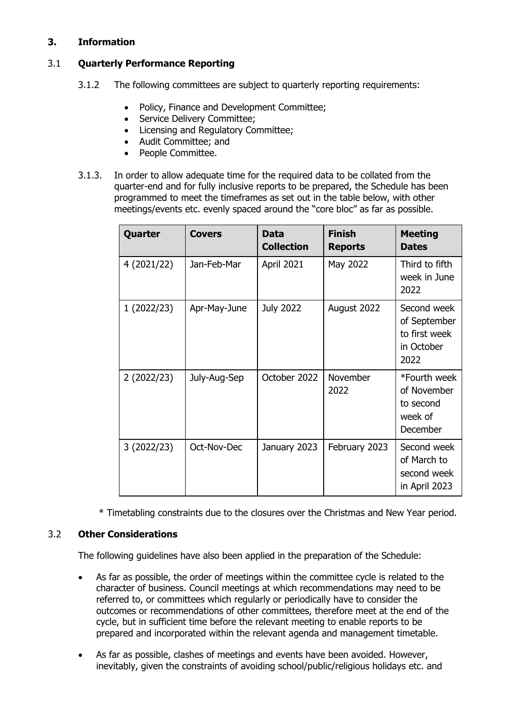## **3. Information**

# 3.1 **Quarterly Performance Reporting**

- 3.1.2 The following committees are subject to quarterly reporting requirements:
	- Policy, Finance and Development Committee;
	- Service Delivery Committee:
	- Licensing and Regulatory Committee;
	- Audit Committee; and
	- People Committee.
- 3.1.3. In order to allow adequate time for the required data to be collated from the quarter-end and for fully inclusive reports to be prepared, the Schedule has been programmed to meet the timeframes as set out in the table below, with other meetings/events etc. evenly spaced around the "core bloc" as far as possible.

| Quarter     | <b>Covers</b> | Data<br><b>Collection</b> | <b>Finish</b><br><b>Reports</b> | <b>Meeting</b><br><b>Dates</b>                                     |
|-------------|---------------|---------------------------|---------------------------------|--------------------------------------------------------------------|
| 4 (2021/22) | Jan-Feb-Mar   | <b>April 2021</b>         | May 2022                        | Third to fifth<br>week in June<br>2022                             |
| 1(2022/23)  | Apr-May-June  | <b>July 2022</b>          | August 2022                     | Second week<br>of September<br>to first week<br>in October<br>2022 |
| 2(2022/23)  | July-Aug-Sep  | October 2022              | November<br>2022                | *Fourth week<br>of November<br>to second<br>week of<br>December    |
| 3(2022/23)  | Oct-Nov-Dec   | January 2023              | February 2023                   | Second week<br>of March to<br>second week<br>in April 2023         |

\* Timetabling constraints due to the closures over the Christmas and New Year period.

### 3.2 **Other Considerations**

The following guidelines have also been applied in the preparation of the Schedule:

- As far as possible, the order of meetings within the committee cycle is related to the character of business. Council meetings at which recommendations may need to be referred to, or committees which regularly or periodically have to consider the outcomes or recommendations of other committees, therefore meet at the end of the cycle, but in sufficient time before the relevant meeting to enable reports to be prepared and incorporated within the relevant agenda and management timetable.
- As far as possible, clashes of meetings and events have been avoided. However, inevitably, given the constraints of avoiding school/public/religious holidays etc. and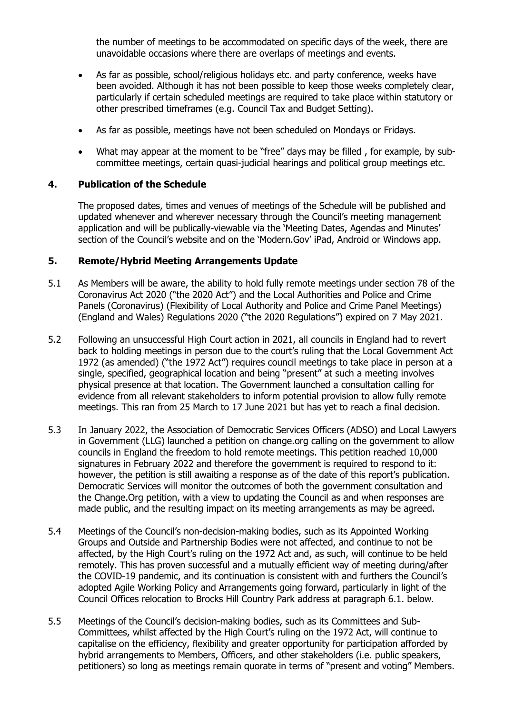the number of meetings to be accommodated on specific days of the week, there are unavoidable occasions where there are overlaps of meetings and events.

- As far as possible, school/religious holidays etc. and party conference, weeks have been avoided. Although it has not been possible to keep those weeks completely clear, particularly if certain scheduled meetings are required to take place within statutory or other prescribed timeframes (e.g. Council Tax and Budget Setting).
- As far as possible, meetings have not been scheduled on Mondays or Fridays.
- What may appear at the moment to be "free" days may be filled , for example, by subcommittee meetings, certain quasi-judicial hearings and political group meetings etc.

#### **4. Publication of the Schedule**

The proposed dates, times and venues of meetings of the Schedule will be published and updated whenever and wherever necessary through the Council's meeting management application and will be publically-viewable via the 'Meeting Dates, Agendas and Minutes' section of the Council's website and on the 'Modern.Gov' iPad, Android or Windows app.

#### **5. Remote/Hybrid Meeting Arrangements Update**

- 5.1 As Members will be aware, the ability to hold fully remote meetings under section 78 of the Coronavirus Act 2020 ("the 2020 Act") and the Local Authorities and Police and Crime Panels (Coronavirus) (Flexibility of Local Authority and Police and Crime Panel Meetings) (England and Wales) Regulations 2020 ("the 2020 Regulations") expired on 7 May 2021.
- 5.2 Following an unsuccessful High Court action in 2021, all councils in England had to revert back to holding meetings in person due to the court's ruling that the Local Government Act 1972 (as amended) ("the 1972 Act") requires council meetings to take place in person at a single, specified, geographical location and being "present" at such a meeting involves physical presence at that location. The Government launched a consultation calling for evidence from all relevant stakeholders to inform potential provision to allow fully remote meetings. This ran from 25 March to 17 June 2021 but has yet to reach a final decision.
- 5.3 In January 2022, the Association of Democratic Services Officers (ADSO) and Local Lawyers in Government (LLG) launched a petition on change.org calling on the government to allow councils in England the freedom to hold remote meetings. This petition reached 10,000 signatures in February 2022 and therefore the government is required to respond to it: however, the petition is still awaiting a response as of the date of this report's publication. Democratic Services will monitor the outcomes of both the government consultation and the Change.Org petition, with a view to updating the Council as and when responses are made public, and the resulting impact on its meeting arrangements as may be agreed.
- 5.4 Meetings of the Council's non-decision-making bodies, such as its Appointed Working Groups and Outside and Partnership Bodies were not affected, and continue to not be affected, by the High Court's ruling on the 1972 Act and, as such, will continue to be held remotely. This has proven successful and a mutually efficient way of meeting during/after the COVID-19 pandemic, and its continuation is consistent with and furthers the Council's adopted Agile Working Policy and Arrangements going forward, particularly in light of the Council Offices relocation to Brocks Hill Country Park address at paragraph 6.1. below.
- 5.5 Meetings of the Council's decision-making bodies, such as its Committees and Sub-Committees, whilst affected by the High Court's ruling on the 1972 Act, will continue to capitalise on the efficiency, flexibility and greater opportunity for participation afforded by hybrid arrangements to Members, Officers, and other stakeholders (i.e. public speakers, petitioners) so long as meetings remain quorate in terms of "present and voting" Members.